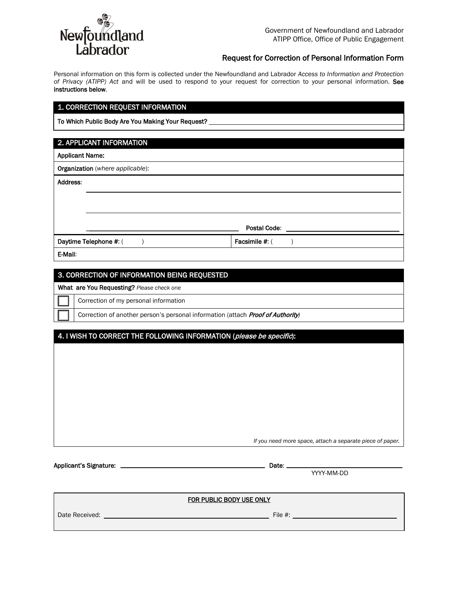

## Request for Correction of Personal Information Form

Personal information on this form is collected under the Newfoundland and Labrador *Access to Information and Protection of Privacy (ATIPP) Act* and will be used to respond to your request for correction to your personal information. See instructions below.

# 1. CORRECTION REQUEST INFORMATION

To Which Public Body Are You Making Your Request?

# 2. APPLICANT INFORMATION

| <b>Applicant Name:</b> |                                  |                |  |
|------------------------|----------------------------------|----------------|--|
|                        | Organization (where applicable): |                |  |
| Address:               |                                  |                |  |
|                        |                                  |                |  |
|                        |                                  |                |  |
|                        |                                  |                |  |
|                        |                                  | Postal Code:   |  |
| Daytime Telephone #: ( |                                  | Facsimile #: ( |  |
| E-Mail:                |                                  |                |  |

#### 3. CORRECTION OF INFORMATION BEING REQUESTED

What are You Requesting? *Please check one*

Correction of my personal information

| ' Correction of another person's personal information (attach <i>Proof of Authority)</i> |
|------------------------------------------------------------------------------------------|
|------------------------------------------------------------------------------------------|

# 4. I WISH TO CORRECT THE FOLLOWING INFORMATION (please be specific):

*If you need more space, attach a separate piece of paper.*

Applicant's Signature: Date:

YYYY-MM-DD

#### FOR PUBLIC BODY USE ONLY

Date Received: The Material Contract of the Material Contract of the Material Contract of the Material Contract of the Material Contract of the Material Contract of the Material Contract of the Material Contract of the Mat